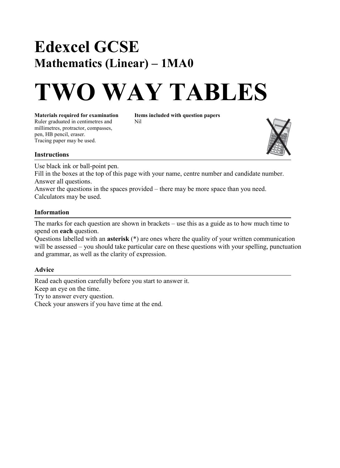### **Edexcel GCSE Mathematics (Linear)** – **1MA0**

# **TWO WAY TABLES**

**Materials required for examination Items included with question papers** Ruler graduated in centimetres and Nil millimetres, protractor, compasses, pen, HB pencil, eraser. Tracing paper may be used.



#### **Instructions**

Use black ink or ball-point pen.

Fill in the boxes at the top of this page with your name, centre number and candidate number. Answer all questions.

Answer the questions in the spaces provided – there may be more space than you need. Calculators may be used.

#### **Information**

The marks for each question are shown in brackets  $-\text{ use this as a guide as to how much time to }$ spend on **each** question.

Questions labelled with an **asterisk** (\*) are ones where the quality of your written communication will be assessed – you should take particular care on these questions with your spelling, punctuation and grammar, as well as the clarity of expression.

#### **Advice**

Read each question carefully before you start to answer it. Keep an eye on the time. Try to answer every question. Check your answers if you have time at the end.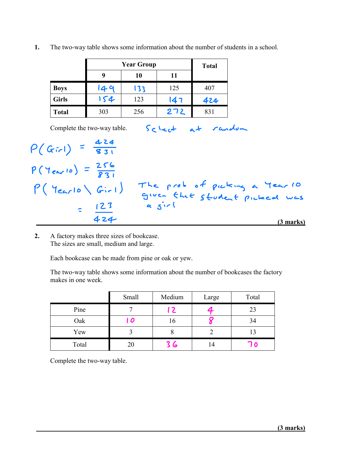|              |     | <b>Total</b> |     |     |
|--------------|-----|--------------|-----|-----|
|              | 9   | 10           | 11  |     |
| <b>Boys</b>  | 149 | 133          | 125 | 407 |
| <b>Girls</b> | 154 | 123          | 147 | 424 |
| <b>Total</b> | 303 | 256          | 272 | 831 |

**1.** The two-way table shows some information about the number of students in a school.

Complete the two-way table.

Scleet at random

 **(3 marks)** 424  $P(Gir) = \frac{424}{831}$  $P(Y_{\text{ear}} | 0) = \frac{256}{831}$  $P($  Year  $|o \setminus G_{ir}|)$  The prob of picking a Year (0 given that student picked was  $123$  a  $51$ 

**2.** A factory makes three sizes of bookcase. The sizes are small, medium and large.

Each bookcase can be made from pine or oak or yew.

The two-way table shows some information about the number of bookcases the factory makes in one week.

|       | Small | Medium | Large | Total |
|-------|-------|--------|-------|-------|
| Pine  |       | 7   [  |       | 23    |
| Oak   | l 0   | 16     |       | 34    |
| Yew   |       | O      |       | 13    |
| Total | 20    | 36     | ۱4    |       |

Complete the two-way table.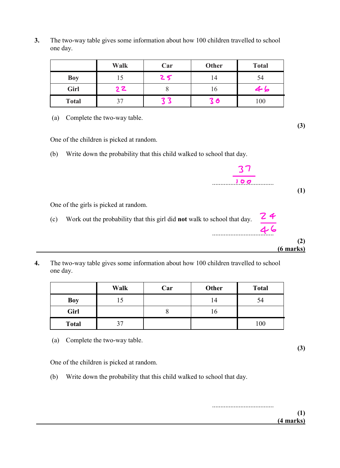**3.** The two-way table gives some information about how 100 children travelled to school one day.

|              | <b>Walk</b> | Car | <b>Other</b> | <b>Total</b> |
|--------------|-------------|-----|--------------|--------------|
| <b>Boy</b>   |             | 25  | 14           | 54           |
| Girl         | 2Z          |     | 10           | 46           |
| <b>Total</b> |             |     | 3 ර          | 100          |

(a) Complete the two-way table.

One of the children is picked at random.

(b) Write down the probability that this child walked to school that day.



One of the girls is picked at random.

- (c) Work out the probability that this girl did **not** walk to school that day. 24 عا ب4<br>.......
- **4.** The two-way table gives some information about how 100 children travelled to school one day.

|              | Walk | Car | Other | <b>Total</b> |
|--------------|------|-----|-------|--------------|
| <b>Boy</b>   | L J  |     | 14    | 54           |
| Girl         |      |     | 10    |              |
| <b>Total</b> | 37   |     |       | 100          |

(a) Complete the two-way table.

One of the children is picked at random.

(b) Write down the probability that this child walked to school that day.

..................................... **(1) (4 marks)**

**(3)**

**(2)**

 **(6 marks)**

**(3)**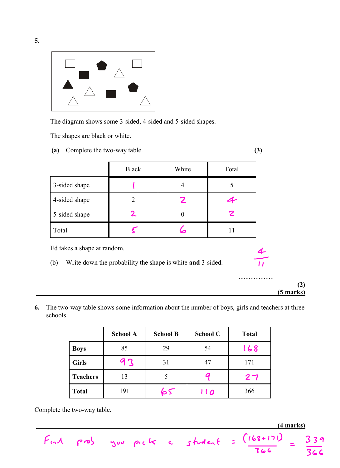

The diagram shows some 3-sided, 4-sided and 5-sided shapes.

The shapes are black or white.

**(a)** Complete the two-way table. **(3)**

| ٧<br>I<br>٦<br>I<br>×<br>۰.<br>ĉ |    |
|----------------------------------|----|
|                                  | ۰. |
|                                  | ۰, |
|                                  | I  |
|                                  |    |

.....................

**(2)**

 **(4 marks)**

339

366

366

|                                                                                                  | <b>Black</b>   | White          | Total |  |  |  |
|--------------------------------------------------------------------------------------------------|----------------|----------------|-------|--|--|--|
| 3-sided shape                                                                                    |                | 4              | 5     |  |  |  |
| 4-sided shape                                                                                    | $\overline{2}$ |                |       |  |  |  |
| 5-sided shape                                                                                    |                | $\overline{0}$ |       |  |  |  |
| Total                                                                                            |                |                | 11    |  |  |  |
| Ed takes a shape at random.<br>Write down the probability the shape is white and 3-sided.<br>(b) |                |                |       |  |  |  |

**6.** The two-way table shows some information about the number of boys, girls and teachers at three schools.

 **(5 marks)**

|                 | <b>School A</b> | <b>School B</b> | <b>School C</b> | <b>Total</b> |
|-----------------|-----------------|-----------------|-----------------|--------------|
| <b>Boys</b>     | 85              | 29              | 54              | 168          |
| <b>Girls</b>    | 93              | 31              | 47              | 171          |
| <b>Teachers</b> | 13              |                 |                 | 27           |
| <b>Total</b>    | 191             | 55              | 110             | 366          |

 $F_{11}A$  prob you pick a student =  $(168+171)$ 

Complete the two-way table.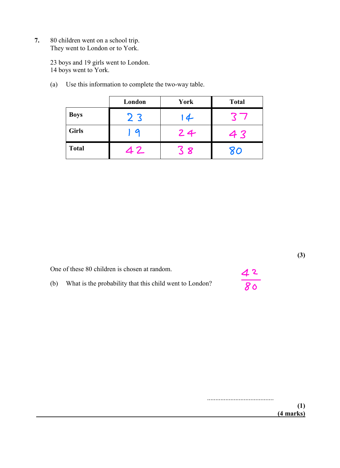**7.** 80 children went on a school trip. They went to London or to York.

> 23 boys and 19 girls went to London. 14 boys went to York.

(a) Use this information to complete the two-way table.

|              | London         | York | <b>Total</b> |
|--------------|----------------|------|--------------|
| <b>Boys</b>  | 2 <sub>3</sub> | 14   |              |
| <b>Girls</b> |                | 24   | 43           |
| <b>Total</b> | 42             | 8    | 80           |

One of these 80 children is chosen at random.

4 <sup>2</sup> 80

**(3)**

(b) What is the probability that this child went to London?

........................................ **(1) (4 marks)**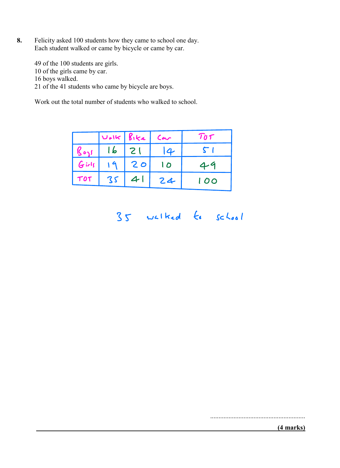**8.** Felicity asked 100 students how they came to school one day. Each student walked or came by bicycle or came by car.

49 of the 100 students are girls. 10 of the girls came by car. 16 boys walked. 21 of the 41 students who came by bicycle are boys.

Work out the total number of students who walked to school.

|          | $ v_{\ell k} $ $g_{ik\ell}$ |    | Car            | TOT            |
|----------|-----------------------------|----|----------------|----------------|
|          | 16  21                      |    | $\overline{4}$ | $\blacksquare$ |
| $G$ irls | 19                          | 20 | $\overline{O}$ | 49             |
| TOT      | 35                          | 41 | 24             | 100            |

35 walked to school

.........................................................

#### **(4 marks)**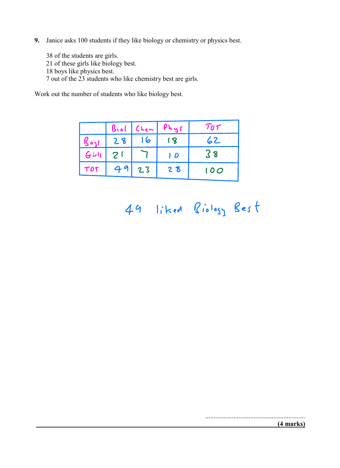**9.** Janice asks 100 students if they like biology or chemistry or physics best.

38 of the students are girls.

- 21 of these girls like biology best. 18 boys like physics best.
- 7 out of the 23 students who like chemistry best are girls.

Work out the number of students who like biology best.

|          |                | $B_{\text{vol}}$ (Len | Phys        | TOT |
|----------|----------------|-----------------------|-------------|-----|
|          | 28             | 6                     | $\mathbf 8$ | 62  |
| $G$ irls | 2 <sup>1</sup> |                       | 1 D         | 38  |
| TOT      | 49             | 23                    | 28          | 100 |

## 49 liked Biology Best

............................................................

 **(4 marks)**